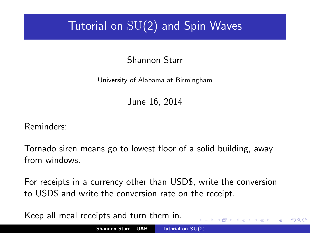### Tutorial on SU(2) and Spin Waves

Shannon Starr

University of Alabama at Birmingham

June 16, 2014

Reminders:

Tornado siren means go to lowest floor of a solid building, away from windows.

For receipts in a currency other than USD\$, write the conversion to USD\$ and write the conversion rate on the receipt.

Keep all meal receipts and turn them in.  $(5.7)$   $(5.7)$ 

<span id="page-0-0"></span> $\Omega$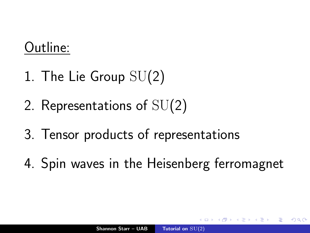## Outline:

- 1. The Lie Group SU(2)
- 2. Representations of SU(2)
- 3. Tensor products of representations
- 4. Spin waves in the Heisenberg ferromagnet

∽≏ດ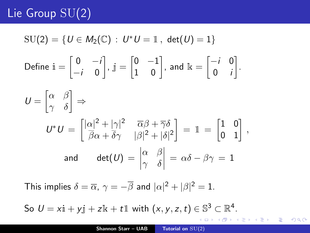### Lie Group SU(2)

$$
SU(2) = \{U \in M_2(\mathbb{C}) : U^*U = \mathbb{1}, \det(U) = 1\}
$$
  
Define  $\mathbf{i} = \begin{bmatrix} 0 & -i \\ -i & 0 \end{bmatrix}$ ,  $\mathbf{j} = \begin{bmatrix} 0 & -1 \\ 1 & 0 \end{bmatrix}$ , and  $\mathbf{k} = \begin{bmatrix} -i & 0 \\ 0 & i \end{bmatrix}$ .  

$$
U = \begin{bmatrix} \alpha & \beta \\ \gamma & \delta \end{bmatrix} \Rightarrow
$$

$$
U^*U = \begin{bmatrix} |\alpha|^2 + |\gamma|^2 & \overline{\alpha}\beta + \overline{\gamma}\delta \\ \overline{\beta}\alpha + \overline{\delta}\gamma & |\beta|^2 + |\delta|^2 \end{bmatrix} = \mathbb{1} = \begin{bmatrix} 1 & 0 \\ 0 & 1 \end{bmatrix},
$$
and 
$$
\det(U) = \begin{vmatrix} \alpha & \beta \\ \gamma & \delta \end{vmatrix} = \alpha\delta - \beta\gamma = 1
$$

This implies  $\delta = \overline{\alpha}$ ,  $\gamma = -\overline{\beta}$  and  $|\alpha|^2 + |\beta|^2 = 1$ .

So  $U = x\mathbf{i} + y\mathbf{j} + z\mathbf{k} + t\mathbf{l}$  with  $(x, y, z, t) \in \mathbb{S}^3 \subset \mathbb{R}^4$ .

メ御き メミメ メミメー

重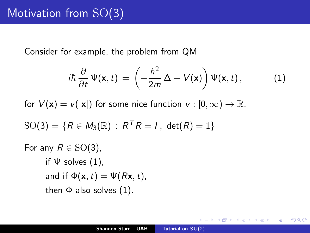Consider for example, the problem from QM

<span id="page-3-0"></span>
$$
i\hbar \frac{\partial}{\partial t} \Psi(\mathbf{x}, t) = \left(-\frac{\hbar^2}{2m} \Delta + V(\mathbf{x})\right) \Psi(\mathbf{x}, t), \qquad (1)
$$

for  $V(\mathbf{x}) = v(|\mathbf{x}|)$  for some nice function  $v : [0, \infty) \to \mathbb{R}$ .

$$
SO(3) = \{ R \in M_3(\mathbb{R}) : R^T R = I, det(R) = 1 \}
$$

For any  $R \in SO(3)$ , if  $\Psi$  solves [\(1\)](#page-3-0), and if  $\Phi(\mathbf{x},t) = \Psi(R\mathbf{x},t)$ , then  $\Phi$  also solves  $(1)$ .

∢ 伊 ≯ ∢ 唐 ≯

つくい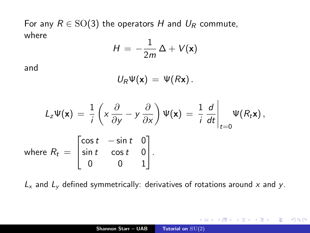For any  $R \in SO(3)$  the operators H and  $U_R$  commute, where 4

$$
H = -\frac{1}{2m}\Delta + V(\mathbf{x})
$$

and

$$
U_R \Psi(\mathbf{x}) = \Psi(R\mathbf{x}).
$$

$$
L_z \Psi(\mathbf{x}) = \frac{1}{i} \left( x \frac{\partial}{\partial y} - y \frac{\partial}{\partial x} \right) \Psi(\mathbf{x}) = \frac{1}{i} \frac{d}{dt} \Big|_{t=0} \Psi(R_t \mathbf{x}),
$$
  
where  $R_t = \begin{bmatrix} \cos t & -\sin t & 0 \\ \sin t & \cos t & 0 \\ 0 & 0 & 1 \end{bmatrix}.$ 

 $L_x$  and  $L_y$  defined symmetrically: derivatives of rotations around x and y.

 $\leftarrow$   $\Box$   $\rightarrow$ 

メタメメ ミメメ ミメ

重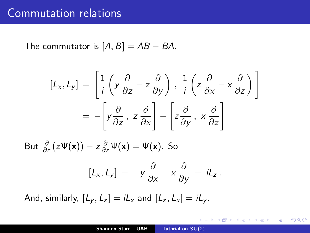#### Commutation relations

The commutator is  $[A, B] = AB - BA$ .

$$
[L_x, L_y] = \left[\frac{1}{i}\left(y\frac{\partial}{\partial z} - z\frac{\partial}{\partial y}\right), \frac{1}{i}\left(z\frac{\partial}{\partial x} - x\frac{\partial}{\partial z}\right)\right]
$$

$$
= -\left[y\frac{\partial}{\partial z}, z\frac{\partial}{\partial x}\right] - \left[z\frac{\partial}{\partial y}, x\frac{\partial}{\partial z}\right]
$$

But  $\frac{\partial}{\partial z}(z\Psi(\mathbf{x})) - z\frac{\partial}{\partial z}\Psi(\mathbf{x}) = \Psi(\mathbf{x})$ . So

$$
[L_x, L_y] = -y \frac{\partial}{\partial x} + x \frac{\partial}{\partial y} = iL_z.
$$

And, similarly,  $[L_v, L_z] = iL_x$  and  $[L_z, L_x] = iL_v$ .

メ御き メミメ メミド

 $2Q$ 

<span id="page-5-0"></span>目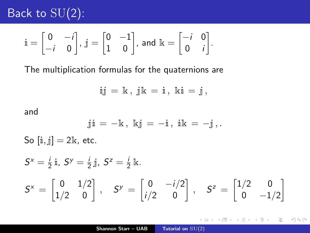### Back to  $\overline{{\rm SU}}(2)$ :

$$
\dot{\mathbb{I}} = \begin{bmatrix} 0 & -i \\ -i & 0 \end{bmatrix}, \ \dot{\mathbb{J}} = \begin{bmatrix} 0 & -1 \\ 1 & 0 \end{bmatrix}, \text{ and } \mathbb{I} = \begin{bmatrix} -i & 0 \\ 0 & i \end{bmatrix}.
$$

The multiplication formulas for the quaternions are

$$
\; i \; j \; = \; \Bbbk \; , \; j \, \Bbbk \; = \; i \; , \; \Bbbk i \; = \; j \; ,
$$

and

$$
\text{ j} \, \text { i } = \, - \, \Bbbk \, , \, \, \mathbb{k} \, \text { j } = \, - \, \text { i } \, , \, \, \text { i } \, \Bbbk \, = \, - \, \text { j } \, , \, .
$$

So  $[i, j] = 2k$ , etc.

$$
S^x = \frac{i}{2} \mathbf{i}, \ S^y = \frac{i}{2} \mathbf{j}, \ S^z = \frac{i}{2} \mathbf{k}.
$$
  

$$
S^x = \begin{bmatrix} 0 & 1/2 \\ 1/2 & 0 \end{bmatrix}, \quad S^y = \begin{bmatrix} 0 & -i/2 \\ i/2 & 0 \end{bmatrix}, \quad S^z = \begin{bmatrix} 1/2 & 0 \\ 0 & -1/2 \end{bmatrix}
$$

K ロ ▶ K 御 ▶ K 君 ▶ K 君 ▶

重

<span id="page-6-0"></span> $299$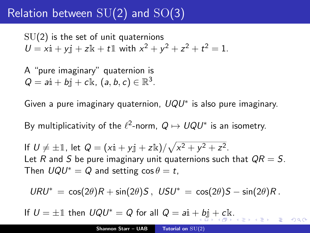### Relation between  $SU(2)$  and  $SO(3)$

 $SU(2)$  is the set of unit quaternions  $U = x\text{i} + y\text{j} + z\text{k} + t\text{l}$  with  $x^2 + y^2 + z^2 + t^2 = 1$ .

A "pure imaginary" quaternion is  $Q = a\text{i} + b\text{j} + c\text{k}$ ,  $(a, b, c) \in \mathbb{R}^3$ .

Given a pure imaginary quaternion,  $UQU^*$  is also pure imaginary.

By multiplicativity of the  $\ell^2$ -norm,  $Q \mapsto UQU^*$  is an isometry.

If  $U \neq \pm \mathbb{1}$ , let  $Q = (x\mathbf{i} + y\mathbf{j} + z\mathbf{k})/\sqrt{x^2 + y^2 + z^2}$ . Let R and S be pure imaginary unit quaternions such that  $QR = S$ . Then  $UQU^* = Q$  and setting  $\cos \theta = t$ ,

$$
URU^* = \cos(2\theta)R + \sin(2\theta)S, \text{ } USU^* = \cos(2\theta)S - \sin(2\theta)R.
$$

<span id="page-7-0"></span> $\Omega$ 

If  $U = \pm 1$  then  $UQU^* = Q$  for all  $Q = ai + bi + ck$  $Q = ai + bi + ck$  $Q = ai + bi + ck$  $Q = ai + bi + ck$  $Q = ai + bi + ck$  $Q = ai + bi + ck$  $Q = ai + bi + ck$ [.](#page-0-0)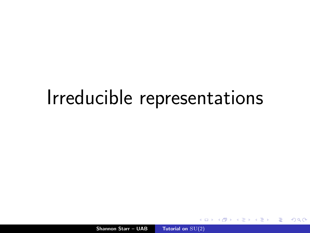# Irreducible representations

Shannon Starr – UAB [Tutorial on](#page-0-0)  $SU(2)$ 

 $2Q$ 

<span id="page-8-0"></span>扂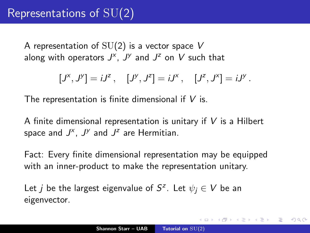A representation of  $SU(2)$  is a vector space V along with operators  $J^{\times}$ ,  $J^{\times}$  and  $J^z$  on V such that

$$
[J^x, J^y] = iJ^z, \quad [J^y, J^z] = iJ^x, \quad [J^z, J^x] = iJ^y.
$$

The representation is finite dimensional if  $V$  is.

A finite dimensional representation is unitary if  $V$  is a Hilbert space and  $J^{\times}$ ,  $J^{\times}$  and  $J^z$  are Hermitian.

Fact: Every finite dimensional representation may be equipped with an inner-product to make the representation unitary.

Let  $j$  be the largest eigenvalue of  $S^z$ . Let  $\psi_j \in V$  be an eigenvector.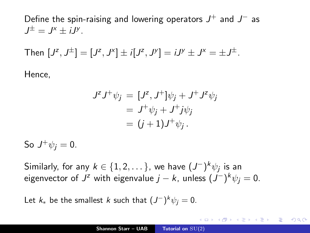Define the spin-raising and lowering operators  $J^+$  and  $J^-$  as  $J^{\pm} = J^{\times} \pm iJ^{\times}$ .

Then 
$$
[J^z, J^{\pm}] = [J^z, J^x] \pm i[J^z, J^y] = iJ^y \pm J^x = \pm J^{\pm}
$$
.

Hence,

$$
JzJ+\psi_j = [Jz, J+]\psi_j + J+Jz\psi_j
$$
  
= J<sup>+</sup>\psi\_j + J<sup>+</sup>j\psi\_j  
= (j + 1)J<sup>+</sup>\psi\_j.

So  $J^+\psi_j=0$ .

Similarly, for any  $k \in \{1,2,\dots\}$ , we have  $(J^-)^k \psi_j$  is an eigenvector of  $J^z$  with eigenvalue  $j-k$ , unless  $(J^-)^k\psi_j=0.$ 

Let  $k_*$  be the smallest k such that  $(J^-)^k \psi_j = 0$ .

メ御 メメ ヨ メ ミ メー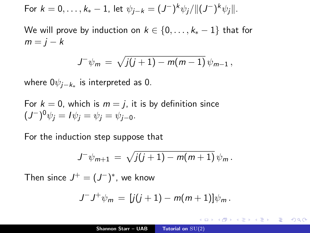For 
$$
k = 0, ..., k_* - 1
$$
, let  $\psi_{j-k} = (J^-)^k \psi_j / ||(J^-)^k \psi_j||$ .

We will prove by induction on  $k \in \{0, \ldots, k_{*} - 1\}$  that for  $m = j - k$ 

$$
J^{-}\psi_{m} = \sqrt{j(j+1) - m(m-1)}\,\psi_{m-1}\,,
$$

where 0 $\psi_{j-k_*}$  is interpreted as 0.

For 
$$
k = 0
$$
, which is  $m = j$ , it is by definition since  

$$
(J^{-})^0 \psi_j = I \psi_j = \psi_j = \psi_{j-0}.
$$

For the induction step suppose that

$$
J^{-}\psi_{m+1} = \sqrt{j(j+1) - m(m+1)} \psi_m.
$$

Then since  $J^+ = (J^-)^*$ , we know

$$
J^{-}J^{+}\psi_{m} = [j(j+1) - m(m+1)]\psi_{m}.
$$

 $\mathcal{A}$   $\mathcal{A}$   $\mathcal{B}$   $\mathcal{A}$   $\mathcal{B}$   $\mathcal{B}$ 

不同 医

 $2Q$ 

目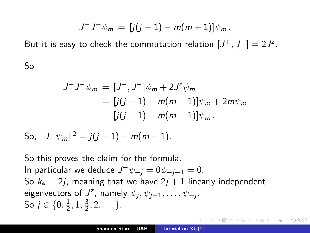$$
J^{-}J^{+}\psi_{m} = [j(j+1) - m(m+1)]\psi_{m}.
$$

But it is easy to check the commutation relation  $[J^+,J^-]=2J^z$ .

So

$$
J^{+}J^{-}\psi_{m} = [J^{+}, J^{-}]\psi_{m} + 2J^{z}\psi_{m}
$$
  
= 
$$
[j(j+1) - m(m+1)]\psi_{m} + 2m\psi_{m}
$$
  
= 
$$
[j(j+1) - m(m-1)]\psi_{m}.
$$

So,  $||J^{-}\psi_{m}||^{2} = j(j + 1) - m(m - 1).$ 

So this proves the claim for the formula. In particular we deduce  $J^-\psi_{-j} = 0\psi_{-j-1} = 0$ . So  $k_* = 2i$ , meaning that we have  $2i + 1$  linearly independent eigenvectors of  $J^z$ , namely  $\psi_j, \psi_{j-1}, \dots, \psi_{-j}$ . So  $j\in\{0,\frac{1}{2}$  $\frac{1}{2}$ , 1,  $\frac{3}{2}$  $\frac{3}{2}, 2, \ldots \}.$ 

<span id="page-12-0"></span>メタト メミト メミト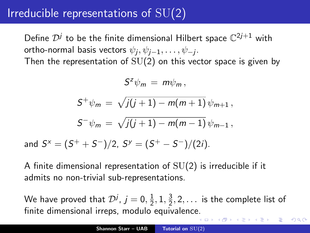### Irreducible representations of SU(2)

Define  $\mathcal{D}^j$  to be the finite dimensional Hilbert space  $\mathbb{C}^{2j+1}$  with ortho-normal basis vectors  $\psi_j, \psi_{j-1}, \ldots, \psi_{-j}.$ 

Then the representation of  $SU(2)$  on this vector space is given by

$$
S^z\psi_m = m\psi_m,
$$

$$
S^{+}\psi_{m} = \sqrt{j(j+1) - m(m+1)} \psi_{m+1},
$$
  

$$
S^{-}\psi_{m} = \sqrt{j(j+1) - m(m-1)} \psi_{m-1},
$$

and  $S^x=(S^++S^-)/2$ ,  $S^y=(S^+-S^-)/(2i)$ .

A finite dimensional representation of  $SU(2)$  is irreducible if it admits no non-trivial sub-representations.

We have proved that  $\mathcal{D}^j$ ,  $j=0,\frac{1}{2}$  $\frac{1}{2}$ , 1,  $\frac{3}{2}$  $\frac{3}{2}$ , 2, . . . is the complete list of finite dimensional irreps, modulo equivalenc[e.](#page-12-0)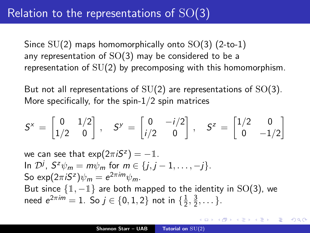Since  $SU(2)$  maps homomorphically onto  $SO(3)$  (2-to-1) any representation of  $SO(3)$  may be considered to be a representation of SU(2) by precomposing with this homomorphism.

But not all representations of  $SU(2)$  are representations of  $SO(3)$ . More specifically, for the spin-1/2 spin matrices

$$
S^x = \begin{bmatrix} 0 & 1/2 \\ 1/2 & 0 \end{bmatrix}, \quad S^y = \begin{bmatrix} 0 & -i/2 \\ i/2 & 0 \end{bmatrix}, \quad S^z = \begin{bmatrix} 1/2 & 0 \\ 0 & -1/2 \end{bmatrix}
$$

we can see that  $\exp(2\pi i S^z) = -\mathbb{1}$ . In  $\mathcal{D}^j$ ,  $S^z \psi_m = m \psi_m$  for  $m \in \{j, j-1, \ldots, -j\}$ . So exp $(2\pi iS^z)\psi_m = e^{2\pi im}\psi_m$ . But since  $\{1, -1\}$  are both mapped to the identity in SO(3), we need  $e^{2\pi i m} = 1$ . So  $j \in \{0, 1, 2\}$  not in  $\{\frac{1}{2}, \frac{1}{2}\}$  $\frac{1}{2}$ ,  $\frac{3}{2}$  $\frac{3}{2}, \ldots \}.$ 

K 御 ▶ K 唐 ▶ K 唐 ▶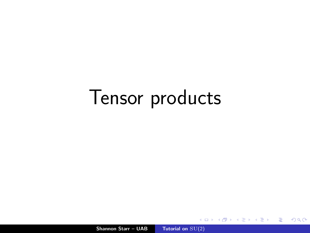# Tensor products

Shannon Starr – UAB [Tutorial on](#page-0-0)  $SU(2)$ 

**K ロ ▶ K 伊 ▶ K 글** 

重

€  $\sim$   $299$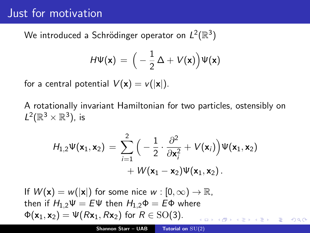### Just for motivation

We introduced a Schrödinger operator on  $L^2(\mathbb{R}^3)$ 

$$
H\Psi(\mathbf{x})\,=\,\Big(-\frac{1}{2}\,\Delta+V(\mathbf{x})\Big)\Psi(\mathbf{x})
$$

for a central potential  $V(\mathbf{x}) = v(|\mathbf{x}|)$ .

A rotationally invariant Hamiltonian for two particles, ostensibly on  $L^2(\mathbb{R}^3\times\mathbb{R}^3)$ , is

$$
H_{1,2}\Psi(\mathbf{x}_1,\mathbf{x}_2) = \sum_{i=1}^2 \Big(-\frac{1}{2}\cdot\frac{\partial^2}{\partial \mathbf{x}_i^2} + V(\mathbf{x}_i)\Big)\Psi(\mathbf{x}_1,\mathbf{x}_2) + W(\mathbf{x}_1-\mathbf{x}_2)\Psi(\mathbf{x}_1,\mathbf{x}_2).
$$

If  $W(\mathbf{x}) = w(|\mathbf{x}|)$  for some nice  $w : [0, \infty) \to \mathbb{R}$ , then if  $H_{1,2}\Psi = E\Psi$  then  $H_{1,2}\Phi = E\Phi$  where  $\Phi(\mathbf{x}_1, \mathbf{x}_2) = \Psi(R\mathbf{x}_1, R\mathbf{x}_2)$  for  $R \in SO(3)$ .  $290$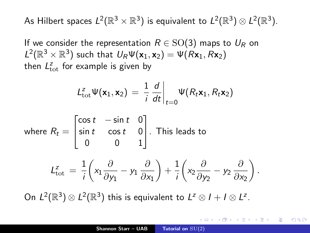As Hilbert spaces  $L^2(\mathbb{R}^3\times\mathbb{R}^3)$  is equivalent to  $L^2(\mathbb{R}^3)\otimes L^2(\mathbb{R}^3).$ 

If we consider the representation  $R \in SO(3)$  maps to  $U_R$  on  $L^2(\mathbb{R}^3\times\mathbb{R}^3)$  such that  $U_R \Psi(\mathbf{x}_1,\mathbf{x}_2) = \Psi(R\mathbf{x}_1,R\mathbf{x}_2)$ then  $L_{\rm tot}^z$  for example is given by

$$
L_{\text{tot}}^z \Psi(\mathbf{x}_1, \mathbf{x}_2) = \frac{1}{i} \frac{d}{dt} \bigg|_{t=0} \Psi(R_t \mathbf{x}_1, R_t \mathbf{x}_2)
$$

where 
$$
R_t = \begin{bmatrix} \cos t & -\sin t & 0 \\ \sin t & \cos t & 0 \\ 0 & 0 & 1 \end{bmatrix}
$$
. This leads to

$$
L_{\text{tot}}^z = \frac{1}{i} \left( x_1 \frac{\partial}{\partial y_1} - y_1 \frac{\partial}{\partial x_1} \right) + \frac{1}{i} \left( x_2 \frac{\partial}{\partial y_2} - y_2 \frac{\partial}{\partial x_2} \right).
$$

On  $L^2(\mathbb{R}^3)\otimes L^2(\mathbb{R}^3)$  this is equivalent to  $L^2\otimes I+I\otimes L^2$ .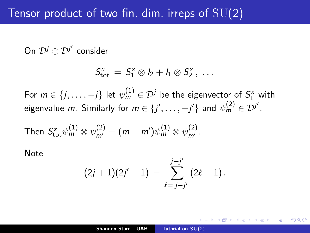### Tensor product of two fin. dim. irreps of  $SU(2)$

On  $\mathcal{D}^j\otimes\mathcal{D}^{j'}$  consider

$$
\mathcal{S}^x_{\rm tot}\ =\ \mathcal{S}^x_1\otimes I_2+\mathit{l}_1\otimes \mathcal{S}^x_2\ ,\ \ldots
$$

For  $m \in \{j,\ldots,-j\}$  let  $\psi_m^{(1)} \in \mathcal{D}^j$  be the eigenvector of  $S_1^{\times}$  with eigenvalue  $m$ . Similarly for  $m \in \{j', \ldots, -j'\}$  and  $\psi^{(2)}_m \in \mathcal{D}^{j'}$ .

Then 
$$
S_{\text{tot}}^z \psi_m^{(1)} \otimes \psi_{m'}^{(2)} = (m + m') \psi_m^{(1)} \otimes \psi_{m'}^{(2)}
$$
.

Note

$$
(2j+1)(2j'+1) = \sum_{\ell=|j-j'|}^{j+j'} (2\ell+1)\,.
$$

∽≏ດ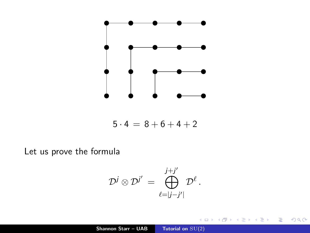

$$
5 \cdot 4 \, = \, 8 + 6 + 4 + 2
$$

Let us prove the formula

$$
\mathcal{D}^j\otimes\mathcal{D}^{j'}\,=\,\bigoplus_{\ell=|j-j'|}^{j+j'}\mathcal{D}^\ell\,.
$$

 $\leftarrow$   $\Box$ ∢母

 $\sim$ 

∍

扂

 $299$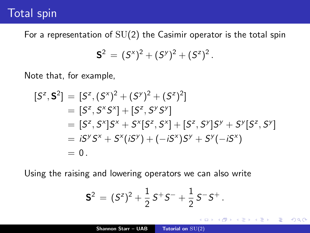### Total spin

For a representation of  $SU(2)$  the Casimir operator is the total spin

$$
S^2 = (S^x)^2 + (S^y)^2 + (S^z)^2.
$$

Note that, for example,

$$
[S^z, \mathbf{S}^2] = [S^z, (S^x)^2 + (S^y)^2 + (S^z)^2]
$$
  
=  $[S^z, S^xS^x] + [S^z, S^yS^y]$   
=  $[S^z, S^x]S^x + S^x[S^z, S^x] + [S^z, S^y]S^y + S^y[S^z, S^y]$   
=  $iS^yS^x + S^x(iS^y) + (-iS^x)S^y + S^y(-iS^x)$   
= 0.

Using the raising and lowering operators we can also write

$$
\mathbf{S}^2 = (S^z)^2 + \frac{1}{2} S^+ S^- + \frac{1}{2} S^- S^+.
$$

 $\leftarrow$   $\Box$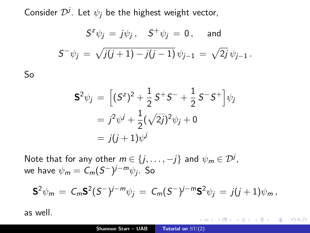Consider  $\mathcal{D}^j$ . Let  $\psi_j$  be the highest weight vector,

$$
S^{z}\psi_{j} = j\psi_{j}, \quad S^{+}\psi_{j} = 0, \text{ and}
$$
  

$$
S^{-}\psi_{j} = \sqrt{j(j+1) - j(j-1)}\psi_{j-1} = \sqrt{2j}\psi_{j-1}.
$$

$$
\mathbf{S}^2 \psi_j = \left[ (S^z)^2 + \frac{1}{2} S^+ S^- + \frac{1}{2} S^- S^+ \right] \psi_j
$$
  
=  $j^2 \psi^j + \frac{1}{2} (\sqrt{2j})^2 \psi_j + 0$   
=  $j(j+1) \psi^j$ 

Note that for any other  $m\in\{j,\ldots,-j\}$  and  $\psi_m\in\mathcal{D}^j$ , we have  $\psi_{\bm m} = \mathcal{C}_{\bm m} (\mathcal{S}^-)^{j-m} \psi_j$ . So

$$
\mathbf{S}^2 \psi_m = C_m \mathbf{S}^2 (S^-)^{j-m} \psi_j = C_m (S^-)^{j-m} \mathbf{S}^2 \psi_j = j(j+1) \psi_m,
$$

 $2Q$ 

扂

as well.

So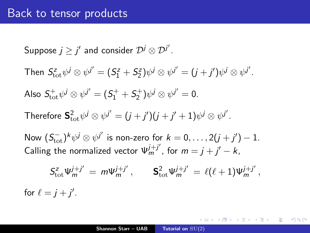#### Back to tensor products

Suppose  $j\geq j'$  and consider  $\mathcal{D}^{j}\otimes\mathcal{D}^{j'}.$ 

Then  $S^z_{\text{tot}} \psi^j \otimes \psi^{j'} = (S^z_1 + S^z_2) \psi^j \otimes \psi^{j'} = (j + j') \psi^j \otimes \psi^{j'}.$ 

Also  $S_{\rm tot}^{+}\psi^{j}\otimes\psi^{j'}=(S_{1}^{+}+S_{2}^{+})\psi^{j}\otimes\psi^{j'}=0.$ 

Therefore  ${\sf S}_{\rm tot}^2\psi^j\otimes\psi^{j^\prime}=(j+j^\prime)(j+j^\prime+1)\psi^j\otimes\psi^{j^\prime}.$ 

Now  $(S_{\text{tot}}^-)^k \psi^j \otimes \psi^{j'}$  is non-zero for  $k = 0, \ldots, 2(j + j') - 1$ . Calling the normalized vector  $\Psi_m^{j+j'}$ , for  $m = j + j' - k$ ,

$$
S_{\rm tot}^z \Psi_m^{j+j'} = m \Psi_m^{j+j'}, \qquad S_{\rm tot}^2 \Psi_m^{j+j'} = \ell(\ell+1) \Psi_m^{j+j'},
$$
  
for  $\ell = j + j'.$ 

K 何 ▶ K 重 ▶ K 重 ▶ 「重 」 約 9,09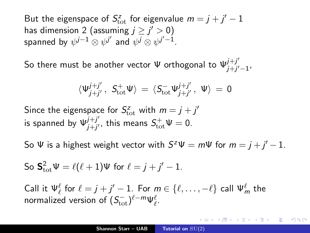But the eigenspace of  $S_{\text{tot}}^z$  for eigenvalue  $m = j + j' - 1$ has dimension 2 (assuming  $j\geq j'>0)$ spanned by  $\psi^{j-1}\otimes\psi^{j'}$  and  $\psi^j\otimes\psi^{j'-1}.$ 

So there must be another vector  $\Psi$  orthogonal to  $\Psi_{i+i'}^{j+j'}$ <sub>J+j′−1</sub>,<br>j+j′−1,

$$
\langle \Psi_{j+j'}^{j+j'}\,,\,\, S_{\rm tot}^+\Psi\rangle\,=\,\langle S_{\rm tot}^-\Psi_{j+j'}^{j+j'}\,,\,\,\Psi\rangle\,=\,0
$$

Since the eigenspace for  $S_{\text{tot}}^z$  with  $m = j + j'$ is spanned by  $\Psi_{i+i'}^{j+j'}$  $j^{++j'}_{j+j'}$ , this means  $S^+_\text{tot}\Psi=0.$ 

So  $\Psi$  is a highest weight vector with  $S^z \Psi = m \Psi$  for  $m = j + j' - 1$ .

So 
$$
\mathbf{S}_{\text{tot}}^2 \Psi = \ell(\ell+1)\Psi
$$
 for  $\ell = j + j' - 1$ .

Call it  $\Psi_\ell^\ell$  for  $\ell = j + j' - 1$ . For  $m \in \{\ell, \ldots, -\ell\}$  call  $\Psi_m^\ell$  the normalized version of  $(S_{\mathrm{tot}}^{-})^{\ell-m}\Psi_{\ell}^{\ell}.$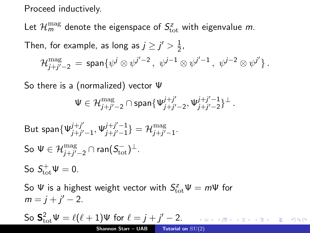Proceed inductively.

Let  $\mathcal{H}^{\rm mag}_{m}$  denote the eigenspace of  $S^z_{\rm tot}$  with eigenvalue  $m$ .

Then, for example, as long as  $j \geq j' > \frac{1}{2}$  $\frac{1}{2}$ ,

$$
\mathcal{H}^{\rm mag}_{j+j'-2} \,=\, \text{span}\{ \psi^j\otimes\psi^{j'-2}\,,\,\, \psi^{j-1}\otimes\psi^{j'-1}\,,\,\, \psi^{j-2}\otimes\psi^{j'}\}\,.
$$

So there is a (normalized) vector Ψ

$$
\Psi\in\mathcal{H}^{\mathrm{mag}}_{j+j'-2}\cap\mathrm{span}\{\Psi^{j+j'}_{j+j'-2},\Psi^{j+j'-1}_{j+j'-2}\}^\perp\,.
$$

But 
$$
\text{span}\{\Psi_{j+j'-1}^{j+j'}, \Psi_{j+j'-1}^{j+j'-1}\} = \mathcal{H}_{j+j'-1}^{\text{mag}}.
$$
  
So  $\Psi \in \mathcal{H}_{j+j'-2}^{\text{mag}} \cap \text{ran}(S_{\text{tot}}^{-})^{\perp}.$   
So  $S_{\text{tot}}^{+} \Psi = 0.$ 

So  $\Psi$  is a highest weight vector with  $S_{\text{tot}}^{z}\Psi = m\Psi$  for  $m = j + j' - 2$ .

So 
$$
S_{\text{tot}}^2 \Psi = \ell(\ell+1)\Psi
$$
 for  $\ell = j + j' - 2$ .  
Shannon Starr – UAB Tutorial on SU(2)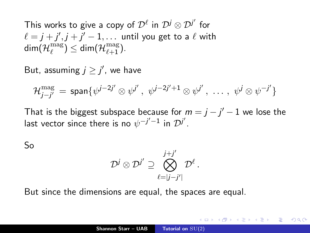This works to give a copy of  $\mathcal{D}^{\ell}$  in  $\mathcal{D}^{j} \otimes \mathcal{D}^{j'}$  for  $\ell = j + j', j + j' - 1, \ldots \,$  until you get to a  $\ell$  with  $\mathsf{dim} (\mathcal{H}_{\ell}^{\text{mag}})$  $\binom{\text{mag}}{\ell} \leq \text{\sf dim}(\mathcal{H}_{\ell+1}^{\text{mag}}).$ 

But, assuming  $j \geq j'$ , we have

$$
\mathcal{H}^{\mathrm{mag}}_{j-j'}\,=\,\mathsf{span}\{\psi^{j-2j'}\otimes\psi^{j'}\,,\,\,\psi^{j-2j'+1}\otimes\psi^{j'}\,,\,\,\ldots\,,\,\,\psi^{j}\otimes\psi^{-j'}\}
$$

That is the biggest subspace because for  $m = j - j' - 1$  we lose the last vector since there is no  $\psi^{-j'-1}$  in  $\mathcal{D}^{j'}$ .

So

$$
\mathcal{D}^j\otimes \mathcal{D}^{j'}\supseteq \bigotimes_{\ell=|j-j'|}^{j+j'} \mathcal{D}^\ell\,.
$$

But since the dimensions are equal, the spaces are equal.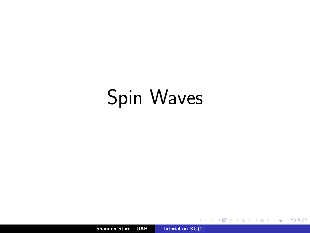# Spin Waves

Shannon Starr – UAB [Tutorial on](#page-0-0)  $SU(2)$ 

**K ロ ▶ K 御 ▶ K 君 ▶** 

 $\rightarrow$   $\equiv$   $\rightarrow$ 

È

 $299$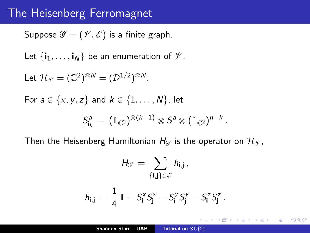#### The Heisenberg Ferromagnet

Suppose  $\mathscr{G} = (\mathscr{V}, \mathscr{E})$  is a finite graph.

Let  $\{i_1, \ldots, i_N\}$  be an enumeration of  $\mathcal V$ .

Let 
$$
\mathcal{H}_{\mathscr{V}} = (\mathbb{C}^2)^{\otimes N} = (\mathcal{D}^{1/2})^{\otimes N}
$$
.

For 
$$
a \in \{x, y, z\}
$$
 and  $k \in \{1, ..., N\}$ , let  

$$
S_{i_k}^a = (\mathbb{1}_{\mathbb{C}^2})^{\otimes (k-1)} \otimes S^a \otimes (\mathbb{1}_{\mathbb{C}^2})^{n-k}
$$

Then the Heisenberg Hamiltonian  $H_{\mathscr{G}}$  is the operator on  $\mathcal{H}_{\mathscr{V}}$ ,

$$
H_{\mathscr{G}} = \sum_{\{i,j\} \in \mathscr{E}} h_{i,j},
$$
  

$$
h_{i,j} = \frac{1}{4} \mathbb{1} - S_i^x S_j^x - S_i^y S_j^y - S_i^z S_j^z.
$$

.

K ロ ⊁ K 倒 ≯ K ミ ⊁ K ミ ⊁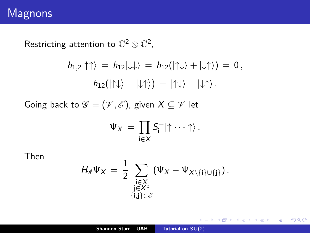Restricting attention to  $\mathbb{C}^2\otimes\mathbb{C}^2$ ,

$$
h_{1,2}|\!\uparrow\uparrow\rangle = h_{12}|\!\downarrow\downarrow\rangle = h_{12}(|\!\uparrow\downarrow\rangle + |\!\downarrow\uparrow\rangle) = 0,
$$
  

$$
h_{12}(|\!\uparrow\downarrow\rangle - |\!\downarrow\uparrow\rangle) = |\!\uparrow\downarrow\rangle - |\!\downarrow\uparrow\rangle.
$$

Going back to  $\mathscr{G} = (\mathscr{V}, \mathscr{E})$ , given  $X \subseteq \mathscr{V}$  let

$$
\Psi_X \,=\, \prod_{\mathbf{i}\in X} S_{\mathbf{i}}^- | \! \uparrow \cdots \uparrow \rangle \,.
$$

Then

$$
H_{\mathscr{G}}\Psi_X\,=\,\frac{1}{2}\,\sum_{\substack{\mathbf{i}\in X\\ \mathbf{j}\in X^c\\ \{\mathbf{i},\mathbf{j}\}\in\mathscr{E}}}\,\left(\Psi_X-\Psi_{X\setminus\{\mathbf{i}\}\cup\{\mathbf{j}\}}\right).
$$

メロメ メ御 メメ きょ メモメ

重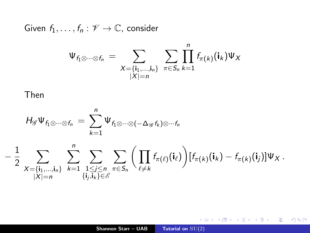Given  $f_1, \ldots, f_n : \mathscr{V} \to \mathbb{C}$ , consider

$$
\Psi_{f_1 \otimes \cdots \otimes f_n} = \sum_{\substack{X = \{\mathbf{i}_1, \dots, \mathbf{i}_n\} \\ |X| = n}} \sum_{\pi \in S_n} \prod_{k=1}^n f_{\pi(k)}(\mathbf{i}_k) \Psi_X
$$

Then

$$
\mathit{H}_{\mathscr{G}}\Psi_{f_1\otimes\cdots\otimes f_n}=\sum_{k=1}^n\Psi_{f_1\otimes\cdots\otimes(-\Delta_{\mathscr{G}}f_k)\otimes\cdots f_n}
$$

$$
-\frac{1}{2}\sum_{\substack{X=\{i_1,\ldots,i_n\}\\|X|=n}}\sum_{k=1}^n\sum_{\substack{1\leq j\leq n\\ \{i_j,i_k\}\in\mathscr{E}}}\sum_{\pi\in\mathcal{S}_n}\bigg(\prod_{\ell\neq k}f_{\pi(\ell)}(\mathbf{i}_\ell)\bigg)[f_{\pi(k)}(\mathbf{i}_k)-f_{\pi(k)}(\mathbf{i}_j)]\Psi_X.
$$

メロメ メタメ メミメ メミメー

目

 $299$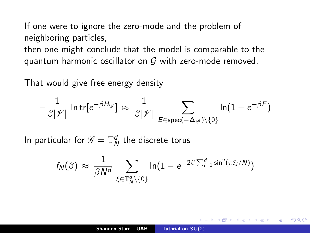If one were to ignore the zero-mode and the problem of neighboring particles,

then one might conclude that the model is comparable to the quantum harmonic oscillator on  $G$  with zero-mode removed.

That would give free energy density

$$
-\frac{1}{\beta |\mathscr{V}|}\, \ln \text{tr}[e^{-\beta H_\mathscr{G}}] \, \approx \, \frac{1}{\beta |\mathscr{V}|} \sum_{E \in \text{spec}(-\Delta_\mathscr{G}) \setminus \{0\}} \ln (1-e^{-\beta E})
$$

In particular for  $\mathscr{G} = \mathbb{T}_\mathsf{N}^d$  the discrete torus

$$
f_N(\beta) \approx \frac{1}{\beta N^d} \sum_{\xi \in \mathbb{T}_N^d \setminus \{0\}} \ln(1 - e^{-2\beta \sum_{i=1}^d \sin^2(\pi \xi_i/N)})
$$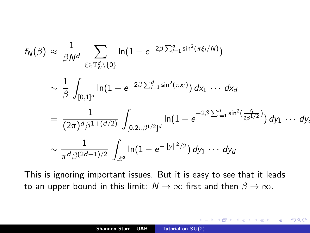$$
f_N(\beta) \approx \frac{1}{\beta N^d} \sum_{\xi \in \mathbb{T}_N^d \setminus \{0\}} \ln(1 - e^{-2\beta \sum_{i=1}^d \sin^2(\pi \xi_i/N)})
$$
  
\$\sim \frac{1}{\beta} \int\_{[0,1]^d} \ln(1 - e^{-2\beta \sum\_{i=1}^d \sin^2(\pi x\_i)}) dx\_1 \cdots dx\_d\$  
= 
$$
\frac{1}{(2\pi)^d \beta^{1+(d/2)}} \int_{[0,2\pi \beta^{1/2}]^d} \ln(1 - e^{-2\beta \sum_{i=1}^d \sin^2(\frac{y_i}{2\beta^{1/2}})}) dy_1 \cdots dy_d
$$
  
\$\sim \frac{1}{\pi^d \beta^{(2d+1)/2}} \int\_{\mathbb{R}^d} \ln(1 - e^{-||y||^2/2}) dy\_1 \cdots dy\_d\$

This is ignoring important issues. But it is easy to see that it leads to an upper bound in this limit:  $N \to \infty$  first and then  $\beta \to \infty$ .

a mills.

4 A 6 4 F 6

K 로 )

扂